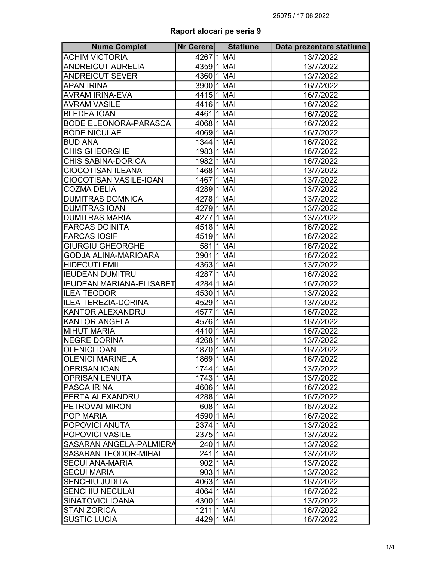## Raport alocari pe seria 9

| <b>Nume Complet</b>          | Nr Cerere | <b>Statiune</b> | Data prezentare statiune |
|------------------------------|-----------|-----------------|--------------------------|
| <b>ACHIM VICTORIA</b>        |           | 4267 1 MAI      | 13/7/2022                |
| <b>ANDREICUT AURELIA</b>     |           | 4359 1 MAI      | 13/7/2022                |
| <b>ANDREICUT SEVER</b>       |           | 4360 1 MAI      | 13/7/2022                |
| <b>APAN IRINA</b>            |           | 3900 1 MAI      | 16/7/2022                |
| <b>AVRAM IRINA-EVA</b>       |           | 4415 1 MAI      | 16/7/2022                |
| <b>AVRAM VASILE</b>          |           | 4416 1 MAI      | 16/7/2022                |
| <b>BLEDEA IOAN</b>           |           | 4461 1 MAI      | 16/7/2022                |
| <b>BODE ELEONORA-PARASCA</b> |           | 406811 MAI      | 16/7/2022                |
| <b>BODE NICULAE</b>          |           | 40691 MAI       | 16/7/2022                |
| <b>BUD ANA</b>               |           | 1344 1 MAI      | 16/7/2022                |
| <b>CHIS GHEORGHE</b>         |           | 1983 1 MAI      | 16/7/2022                |
| CHIS SABINA-DORICA           |           | 1982 1 MAI      | 16/7/2022                |
| <b>CIOCOTISAN ILEANA</b>     |           | 1468 1 MAI      | 13/7/2022                |
| CIOCOTISAN VASILE-IOAN       |           | 1467 1 MAI      | 13/7/2022                |
| <b>COZMA DELIA</b>           |           | 428911 MAI      | 13/7/2022                |
| <b>DUMITRAS DOMNICA</b>      |           | 427811 MAI      | 13/7/2022                |
| <b>DUMITRAS IOAN</b>         |           | 427911 MAI      | 13/7/2022                |
| <b>DUMITRAS MARIA</b>        |           | 427711 MAI      | 13/7/2022                |
| <b>FARCAS DOINITA</b>        |           | 4518 1 MAI      | 16/7/2022                |
| <b>FARCAS IOSIF</b>          |           | 4519 1 MAI      | 16/7/2022                |
| <b>GIURGIU GHEORGHE</b>      |           | 581 1 MAI       | 16/7/2022                |
| <b>GODJA ALINA-MARIOARA</b>  |           | 3901 1 MAI      | 16/7/2022                |
| <b>HIDECUTI EMIL</b>         |           | 4363 1 MAI      | 13/7/2022                |
| <b>IEUDEAN DUMITRU</b>       |           | 4287 1 MAI      | 16/7/2022                |
| IEUDEAN MARIANA-ELISABET     |           | 4284 1 MAI      | 16/7/2022                |
| <b>ILEA TEODOR</b>           |           | 4530 1 MAI      | 13/7/2022                |
| ILEA TEREZIA-DORINA          |           | 4529 1 MAI      | 13/7/2022                |
| <b>KANTOR ALEXANDRU</b>      |           | 4577 1 MAI      | 16/7/2022                |
| <b>KANTOR ANGELA</b>         |           | 4576 1 MAI      | 16/7/2022                |
| <b>MIHUT MARIA</b>           |           | 4410 1 MAI      | 16/7/2022                |
| NEGRE DORINA                 |           | 426811 MAI      | 13/7/2022                |
| <b>OLENICI IOAN</b>          |           | 1870 1 MAI      | 16/7/2022                |
| <b>OLENICI MARINELA</b>      |           | 1869 1 MAI      | 16/7/2022                |
| <b>OPRISAN IOAN</b>          |           | 1744 1 MAI      | 13/7/2022                |
| <b>OPRISAN LENUTA</b>        |           | 1743 1 MAI      | 13/7/2022                |
| <b>PASCA IRINA</b>           |           | 4606 1 MAI      | 16/7/2022                |
| <b>PERTA ALEXANDRU</b>       |           | 4288 1 MAI      | 16/7/2022                |
| <b>IPETROVAI MIRON</b>       |           | 608 1 MAI       | 16/7/2022                |
| <b>POP MARIA</b>             |           | 4590 1 MAI      | 16/7/2022                |
| <b>POPOVICI ANUTA</b>        |           | 2374 1 MAI      | 13/7/2022                |
| <b>POPOVICI VASILE</b>       |           | 2375 1 MAI      | 13/7/2022                |
| SASARAN ANGELA-PALMIERA      |           | 240 1 MAI       | 13/7/2022                |
| <b>SASARAN TEODOR-MIHAI</b>  |           | 241   1 MAI     | 13/7/2022                |
| <b>I</b> SECUI ANA-MARIA     |           | 902 1 MAI       | 13/7/2022                |
| <b>SECUI MARIA</b>           |           | 90311 MAI       | 13/7/2022                |
| SENCHIU JUDITA               |           | 4063 1 MAI      | 16/7/2022                |
| <b>SENCHIU NECULAI</b>       |           | 4064 1 MAI      | 16/7/2022                |
| <b>SINATOVICI IOANA</b>      |           | 4300 1 MAI      | 13/7/2022                |
| <b>STAN ZORICA</b>           |           | 1211   1 MAI    | 16/7/2022                |
| <b>SUSTIC LUCIA</b>          |           | 4429 1 MAI      | 16/7/2022                |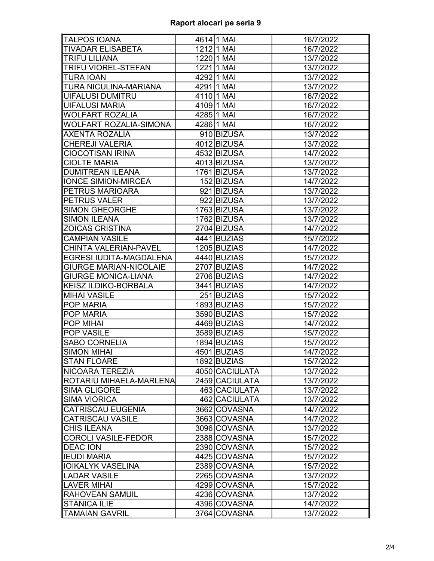| <b>TALPOS IOANA</b>           | 4614 1 MAI     | 16/7/2022 |
|-------------------------------|----------------|-----------|
| <b>TIVADAR ELISABETA</b>      | 1212 1 MAI     | 16/7/2022 |
| <b>TRIFU LILIANA</b>          | 1220 1 MAI     | 13/7/2022 |
| <b>TRIFU VIOREL-STEFAN</b>    | 1221   1 MAI   | 13/7/2022 |
| <b>TURA IOAN</b>              | 42921 MAI      | 13/7/2022 |
| TURA NICULINA-MARIANA         | 429111 MAI     | 13/7/2022 |
| <b>UIFALUSI DUMITRU</b>       | 4110 1 MAI     | 16/7/2022 |
| <b>UIFALUSI MARIA</b>         | 4109 1 MAI     | 16/7/2022 |
| <b>WOLFART ROZALIA</b>        | 4285 1 MAI     | 16/7/2022 |
| WOLFART ROZALIA-SIMONA        | 4286 1 MAI     | 16/7/2022 |
| <b>AXENTA ROZALIA</b>         | 910 BIZUSA     | 13/7/2022 |
| <b>CHEREJI VALERIA</b>        | 4012 BIZUSA    | 13/7/2022 |
| <b>CIOCOTISAN IRINA</b>       | 4532 BIZUSA    | 14/7/2022 |
| <b>CIOLTE MARIA</b>           | 4013 BIZUSA    | 13/7/2022 |
| <b>DUMITREAN ILEANA</b>       | 1761 BIZUSA    | 13/7/2022 |
| <b>IONCE SIMION-MIRCEA</b>    | 152 BIZUSA     | 14/7/2022 |
| PETRUS MARIOARA               | 921 BIZUSA     | 13/7/2022 |
| <b>PETRUS VALER</b>           | 922 BIZUSA     | 13/7/2022 |
| <b>SIMON GHEORGHE</b>         | 1763 BIZUSA    | 13/7/2022 |
| <b>SIMON ILEANA</b>           | 1762 BIZUSA    | 13/7/2022 |
| <b>ZOICAS CRISTINA</b>        | 2704 BIZUSA    | 14/7/2022 |
| <b>CAMPIAN VASILE</b>         | 4441 BUZIAS    | 15/7/2022 |
| CHINTA VALERIAN-PAVEL         | 1205 BUZIAS    | 14/7/2022 |
| EGRESI IUDITA-MAGDALENA       | 4440 BUZIAS    | 15/7/2022 |
| <b>GIURGE MARIAN-NICOLAIE</b> | 2707 BUZIAS    | 14/7/2022 |
| <b>GIURGE MONICA-LIANA</b>    | 2706 BUZIAS    | 14/7/2022 |
| <b>KEISZ ILDIKO-BORBALA</b>   | 3441 BUZIAS    | 14/7/2022 |
| <b>MIHAI VASILE</b>           | 251 BUZIAS     | 15/7/2022 |
| <b>POP MARIA</b>              | 1893 BUZIAS    | 15/7/2022 |
| POP MARIA                     | 3590 BUZIAS    | 15/7/2022 |
| <b>POP MIHAI</b>              | 4469 BUZIAS    | 14/7/2022 |
| POP VASILE                    | 3589 BUZIAS    | 15/7/2022 |
| <b>SABO CORNELIA</b>          | 1894 BUZIAS    | 15/7/2022 |
| <b>SIMON MIHAI</b>            | 4501 BUZIAS    | 14/7/2022 |
| <b>STAN FLOARE</b>            | 1892 BUZIAS    | 15/7/2022 |
| NICOARA TEREZIA               | 4050 CACIULATA | 13/7/2022 |
| ROTARIU MIHAELA-MARLENA       | 2459 CACIULATA | 13/7/2022 |
| <b>SIMA GLIGORE</b>           | 463 CACIULATA  | 13/7/2022 |
| <b>SIMA VIORICA</b>           | 462 CACIULATA  | 13/7/2022 |
| <b>CATRISCAU EUGENIA</b>      | 3662 COVASNA   | 14/7/2022 |
| <b>CATRISCAU VASILE</b>       | 3663 COVASNA   | 14/7/2022 |
| <b>CHIS ILEANA</b>            | 3096 COVASNA   | 13/7/2022 |
| <b>COROLI VASILE-FEDOR</b>    | 2388 COVASNA   | 15/7/2022 |
| <b>DEAC ION</b>               | 2390 COVASNA   | 15/7/2022 |
| <b>IEUDI MARIA</b>            | 4425 COVASNA   | 15/7/2022 |
| <b>IOIKALYK VASELINA</b>      | 2389 COVASNA   | 15/7/2022 |
| LADAR VASILE                  | 2265 COVASNA   | 13/7/2022 |
| <b>LAVER MIHAI</b>            | 4299 COVASNA   | 15/7/2022 |
| <b>RAHOVEAN SAMUIL</b>        | 4236 COVASNA   | 13/7/2022 |
| <b>STANICA ILIE</b>           | 4396 COVASNA   | 14/7/2022 |
| <b>TAMAIAN GAVRIL</b>         | 3764 COVASNA   | 13/7/2022 |
|                               |                |           |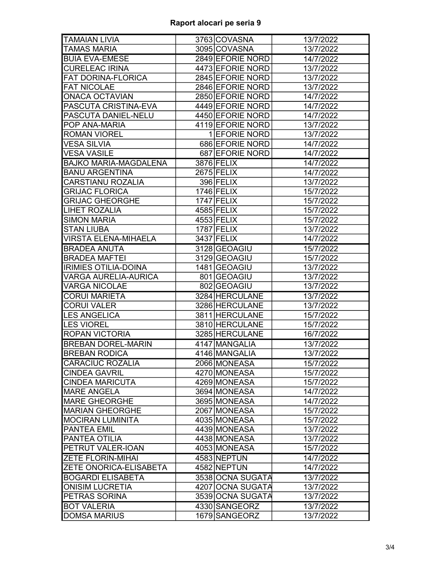## Raport alocari pe seria 9

| <b>TAMAIAN LIVIA</b>          | 3763 COVASNA     | 13/7/2022 |
|-------------------------------|------------------|-----------|
| <b>TAMAS MARIA</b>            | 3095 COVASNA     | 13/7/2022 |
| <b>BUIA EVA-EMESE</b>         | 2849 EFORIE NORD | 14/7/2022 |
| <b>CURELEAC IRINA</b>         | 4473 EFORIE NORD | 13/7/2022 |
| <b>FAT DORINA-FLORICA</b>     | 2845 EFORIE NORD | 13/7/2022 |
| <b>FAT NICOLAE</b>            | 2846 EFORIE NORD | 13/7/2022 |
| <b>ONACA OCTAVIAN</b>         | 2850 EFORIE NORD | 14/7/2022 |
| PASCUTA CRISTINA-EVA          | 4449 EFORIE NORD | 14/7/2022 |
| PASCUTA DANIEL-NELU           | 4450 EFORIE NORD | 14/7/2022 |
| POP ANA-MARIA                 | 4119 EFORIE NORD | 13/7/2022 |
| <b>ROMAN VIOREL</b>           | 1 EFORIE NORD    | 13/7/2022 |
| <b>VESA SILVIA</b>            | 686 EFORIE NORD  | 14/7/2022 |
| <b>VESA VASILE</b>            | 687 EFORIE NORD  | 14/7/2022 |
| <b>BAJKO MARIA-MAGDALENA</b>  | 3876 FELIX       | 14/7/2022 |
| <b>BANU ARGENTINA</b>         | $2675$ FELIX     | 14/7/2022 |
| <b>CARSTIANU ROZALIA</b>      | 396 FELIX        | 13/7/2022 |
| <b>GRIJAC FLORICA</b>         | 1746 FELIX       | 15/7/2022 |
| <b>GRIJAC GHEORGHE</b>        | 1747 FELIX       | 15/7/2022 |
| <b>LIHET ROZALIA</b>          | 4585 FELIX       | 15/7/2022 |
| <b>SIMON MARIA</b>            | 4553 FELIX       | 15/7/2022 |
| <b>STAN LIUBA</b>             | 1787 FELIX       | 13/7/2022 |
| VIRSTA ELENA-MIHAELA          | 3437 FELIX       | 14/7/2022 |
| <b>BRADEA ANUTA</b>           | 3128 GEOAGIU     | 15/7/2022 |
| <b>BRADEA MAFTEI</b>          | 3129 GEOAGIU     | 15/7/2022 |
| <b>IRIMIES OTILIA-DOINA</b>   | 1481 GEOAGIU     | 13/7/2022 |
| VARGA AURELIA-AURICA          | 801 GEOAGIU      | 13/7/2022 |
| <b>VARGA NICOLAE</b>          | 802 GEOAGIU      | 13/7/2022 |
| <b>CORUI MARIETA</b>          | 3284 HERCULANE   | 13/7/2022 |
| <b>CORUI VALER</b>            | 3286 HERCULANE   | 13/7/2022 |
| <b>LES ANGELICA</b>           | 3811 HERCULANE   | 15/7/2022 |
| <b>LES VIOREL</b>             | 3810 HERCULANE   | 15/7/2022 |
| <b>ROPAN VICTORIA</b>         | 3285 HERCULANE   | 16/7/2022 |
| <b>BREBAN DOREL-MARIN</b>     | 4147 MANGALIA    | 13/7/2022 |
| <b>BREBAN RODICA</b>          | 4146 MANGALIA    | 13/7/2022 |
| <b>CARACIUC ROZALIA</b>       | 2066 MONEASA     | 15/7/2022 |
| <b>CINDEA GAVRIL</b>          | 4270 MONEASA     | 15/7/2022 |
| <b>CINDEA MARICUTA</b>        | 4269 MONEASA     | 15/7/2022 |
| <b>MARE ANGELA</b>            | 3694 MONEASA     | 14/7/2022 |
| <b>MARE GHEORGHE</b>          | 3695 MONEASA     | 14/7/2022 |
| <b>MARIAN GHEORGHE</b>        | 2067 MONEASA     | 15/7/2022 |
| <b>MOCIRAN LUMINITA</b>       | 4035 MONEASA     | 15/7/2022 |
| <b>PANTEA EMIL</b>            | 4439 MONEASA     | 13/7/2022 |
| PANTEA OTILIA                 | 4438 MONEASA     | 13/7/2022 |
| PETRUT VALER-IOAN             | 4053 MONEASA     | 15/7/2022 |
| <b>ZETE FLORIN-MIHAI</b>      | 4583 NEPTUN      | 14/7/2022 |
| <b>ZETE ONORICA-ELISABETA</b> | 4582 NEPTUN      | 14/7/2022 |
| <b>BOGARDI ELISABETA</b>      | 3538 OCNA SUGATA | 13/7/2022 |
| <b>ONISIM LUCRETIA</b>        | 4207 OCNA SUGATA | 13/7/2022 |
| PETRAS SORINA                 | 3539 OCNA SUGATA | 13/7/2022 |
| <b>BOT VALERIA</b>            | 4330 SANGEORZ    | 13/7/2022 |
| <b>DOMSA MARIUS</b>           | 1679 SANGEORZ    | 13/7/2022 |
|                               |                  |           |